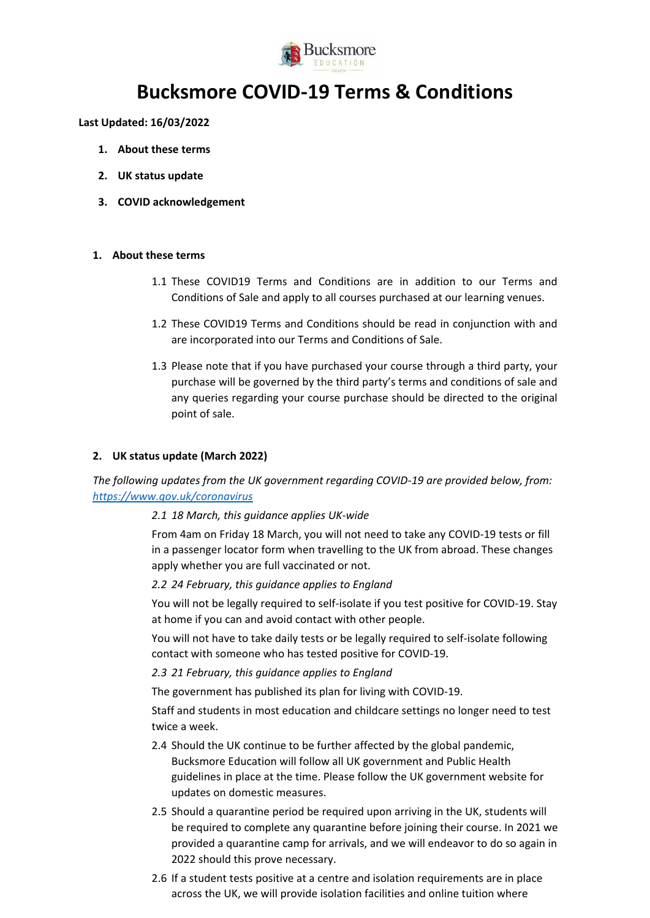

# **Bucksmore COVID-19 Terms & Conditions**

**Last Updated: 16/03/2022**

- **1. About these terms**
- **2. UK status update**
- **3. COVID acknowledgement**

## **1. About these terms**

- 1.1 These COVID19 Terms and Conditions are in addition to our Terms and Conditions of Sale and apply to all courses purchased at our learning venues.
- 1.2 These COVID19 Terms and Conditions should be read in conjunction with and are incorporated into our Terms and Conditions of Sale.
- 1.3 Please note that if you have purchased your course through a third party, your purchase will be governed by the third party's terms and conditions of sale and any queries regarding your course purchase should be directed to the original point of sale.

## **2. UK status update (March 2022)**

*The following updates from the UK government regarding COVID-19 are provided below, from: <https://www.gov.uk/coronavirus>*

## *2.1 18 March, this guidance applies UK-wide*

From 4am on Friday 18 March, you will not need to take any COVID-19 tests or fill in a passenger locator form when travelling to the UK from abroad. These changes apply whether you are full vaccinated or not.

*2.2 24 February, this guidance applies to England*

You will not be legally required to self-isolate if you test positive for COVID-19. Stay at home if you can and avoid contact with other people.

You will not have to take daily tests or be legally required to self-isolate following contact with someone who has tested positive for COVID-19.

*2.3 21 February, this guidance applies to England*

The government has published its plan for living with COVID-19.

Staff and students in most education and childcare settings no longer need to test twice a week.

- 2.4 Should the UK continue to be further affected by the global pandemic, Bucksmore Education will follow all UK government and Public Health guidelines in place at the time. Please follow the UK government website for updates on domestic measures.
- 2.5 Should a quarantine period be required upon arriving in the UK, students will be required to complete any quarantine before joining their course. In 2021 we provided a quarantine camp for arrivals, and we will endeavor to do so again in 2022 should this prove necessary.
- 2.6 If a student tests positive at a centre and isolation requirements are in place across the UK, we will provide isolation facilities and online tuition where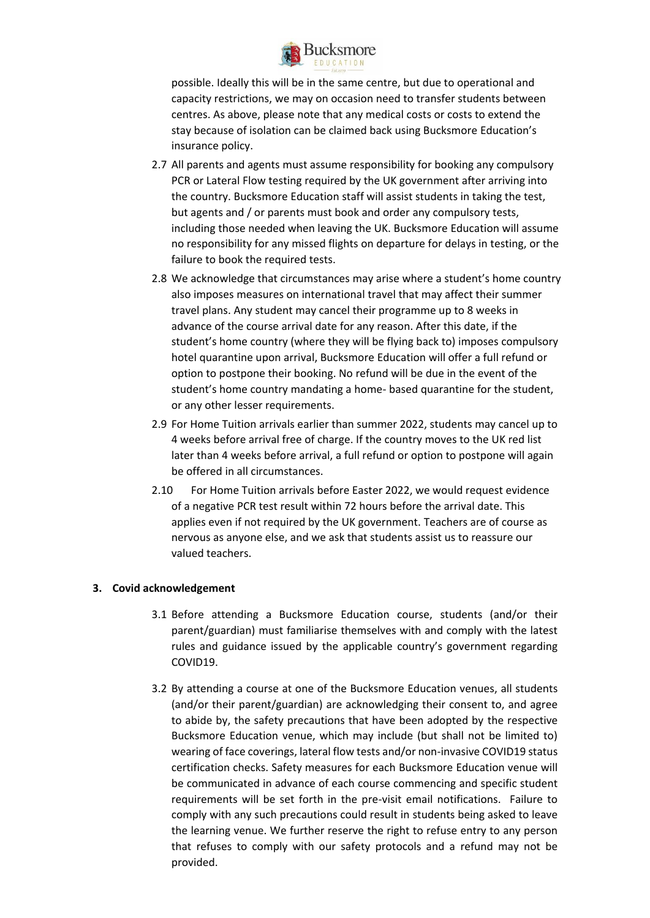

possible. Ideally this will be in the same centre, but due to operational and capacity restrictions, we may on occasion need to transfer students between centres. As above, please note that any medical costs or costs to extend the stay because of isolation can be claimed back using Bucksmore Education's insurance policy.

- 2.7 All parents and agents must assume responsibility for booking any compulsory PCR or Lateral Flow testing required by the UK government after arriving into the country. Bucksmore Education staff will assist students in taking the test, but agents and / or parents must book and order any compulsory tests, including those needed when leaving the UK. Bucksmore Education will assume no responsibility for any missed flights on departure for delays in testing, or the failure to book the required tests.
- 2.8 We acknowledge that circumstances may arise where a student's home country also imposes measures on international travel that may affect their summer travel plans. Any student may cancel their programme up to 8 weeks in advance of the course arrival date for any reason. After this date, if the student's home country (where they will be flying back to) imposes compulsory hotel quarantine upon arrival, Bucksmore Education will offer a full refund or option to postpone their booking. No refund will be due in the event of the student's home country mandating a home- based quarantine for the student, or any other lesser requirements.
- 2.9 For Home Tuition arrivals earlier than summer 2022, students may cancel up to 4 weeks before arrival free of charge. If the country moves to the UK red list later than 4 weeks before arrival, a full refund or option to postpone will again be offered in all circumstances.
- 2.10 For Home Tuition arrivals before Easter 2022, we would request evidence of a negative PCR test result within 72 hours before the arrival date. This applies even if not required by the UK government. Teachers are of course as nervous as anyone else, and we ask that students assist us to reassure our valued teachers.

## **3. Covid acknowledgement**

- 3.1 Before attending a Bucksmore Education course, students (and/or their parent/guardian) must familiarise themselves with and comply with the latest rules and guidance issued by the applicable country's government regarding COVID19.
- 3.2 By attending a course at one of the Bucksmore Education venues, all students (and/or their parent/guardian) are acknowledging their consent to, and agree to abide by, the safety precautions that have been adopted by the respective Bucksmore Education venue, which may include (but shall not be limited to) wearing of face coverings, lateral flow tests and/or non-invasive COVID19 status certification checks. Safety measures for each Bucksmore Education venue will be communicated in advance of each course commencing and specific student requirements will be set forth in the pre-visit email notifications. Failure to comply with any such precautions could result in students being asked to leave the learning venue. We further reserve the right to refuse entry to any person that refuses to comply with our safety protocols and a refund may not be provided.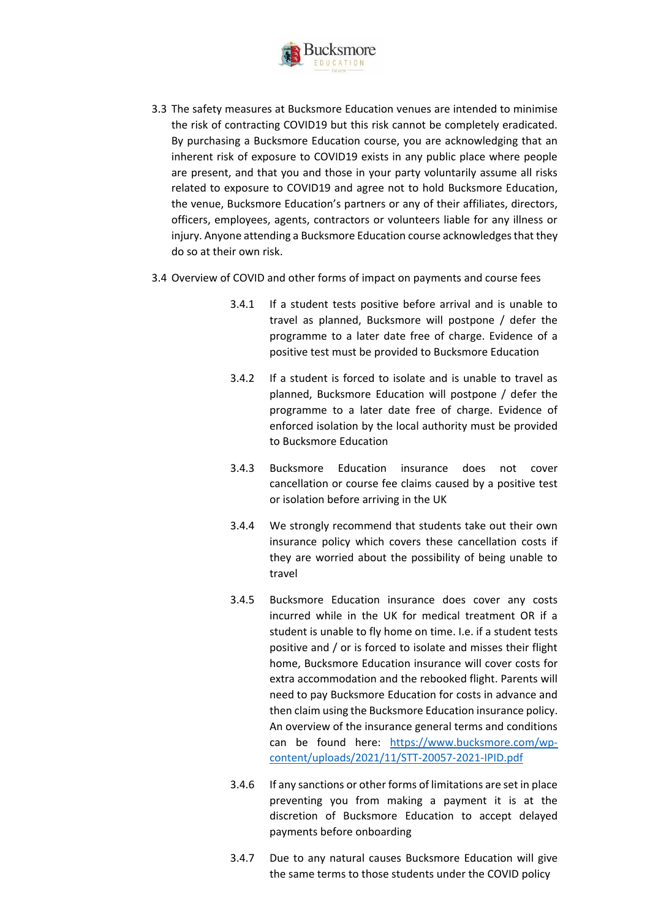

- 3.3 The safety measures at Bucksmore Education venues are intended to minimise the risk of contracting COVID19 but this risk cannot be completely eradicated. By purchasing a Bucksmore Education course, you are acknowledging that an inherent risk of exposure to COVID19 exists in any public place where people are present, and that you and those in your party voluntarily assume all risks related to exposure to COVID19 and agree not to hold Bucksmore Education, the venue, Bucksmore Education's partners or any of their affiliates, directors, officers, employees, agents, contractors or volunteers liable for any illness or injury. Anyone attending a Bucksmore Education course acknowledges that they do so at their own risk.
- 3.4 Overview of COVID and other forms of impact on payments and course fees
	- 3.4.1 If a student tests positive before arrival and is unable to travel as planned, Bucksmore will postpone / defer the programme to a later date free of charge. Evidence of a positive test must be provided to Bucksmore Education
	- 3.4.2 If a student is forced to isolate and is unable to travel as planned, Bucksmore Education will postpone / defer the programme to a later date free of charge. Evidence of enforced isolation by the local authority must be provided to Bucksmore Education
	- 3.4.3 Bucksmore Education insurance does not cover cancellation or course fee claims caused by a positive test or isolation before arriving in the UK
	- 3.4.4 We strongly recommend that students take out their own insurance policy which covers these cancellation costs if they are worried about the possibility of being unable to travel
	- 3.4.5 Bucksmore Education insurance does cover any costs incurred while in the UK for medical treatment OR if a student is unable to fly home on time. I.e. if a student tests positive and / or is forced to isolate and misses their flight home, Bucksmore Education insurance will cover costs for extra accommodation and the rebooked flight. Parents will need to pay Bucksmore Education for costs in advance and then claim using the Bucksmore Education insurance policy. An overview of the insurance general terms and conditions can be found here: [https://www.bucksmore.com/wp](https://www.bucksmore.com/wp-content/uploads/2021/11/STT-20057-2021-IPID.pdf)[content/uploads/2021/11/STT-20057-2021-IPID.pdf](https://www.bucksmore.com/wp-content/uploads/2021/11/STT-20057-2021-IPID.pdf)
	- 3.4.6 If any sanctions or other forms of limitations are set in place preventing you from making a payment it is at the discretion of Bucksmore Education to accept delayed payments before onboarding
	- 3.4.7 Due to any natural causes Bucksmore Education will give the same terms to those students under the COVID policy